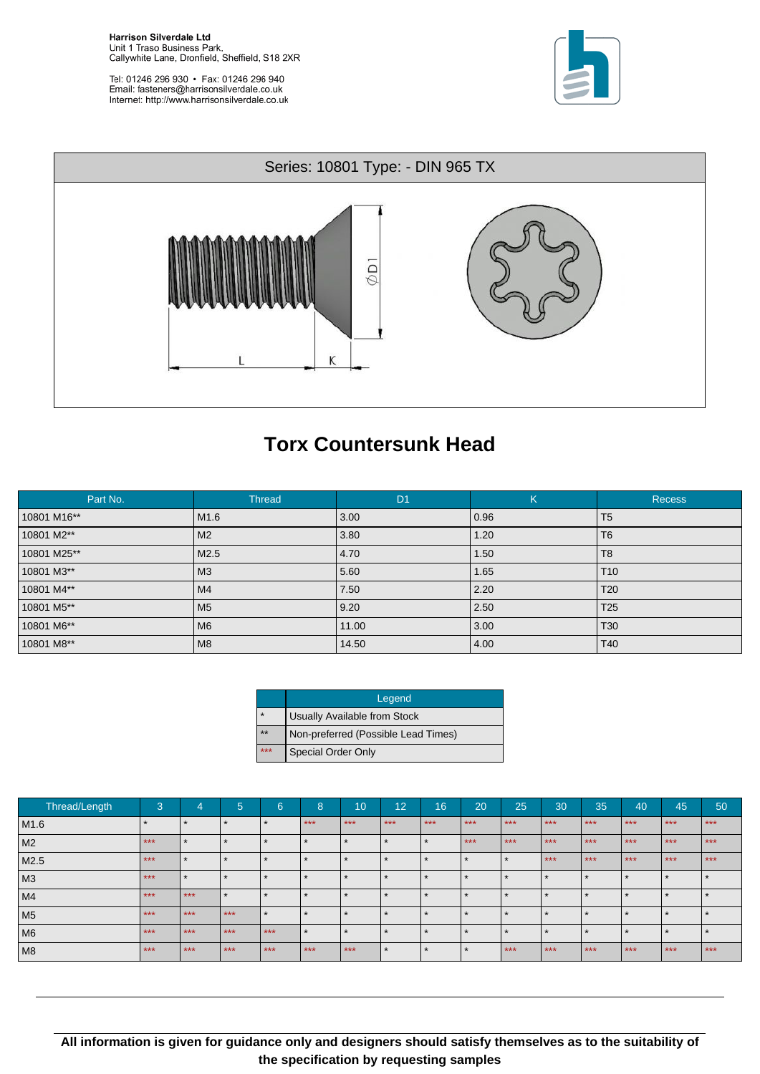Tel: 01246 296 930 · Fax: 01246 296 940<br>Email: fasteners@harrisonsilverdale.co.uk Internet: http://www.harrisonsilverdale.co.uk





## **Torx Countersunk Head**

| Part No.    | <b>Thread</b>    | D <sub>1</sub> | K    | <b>Recess</b>   |
|-------------|------------------|----------------|------|-----------------|
| 10801 M16** | M <sub>1.6</sub> | 3.00           | 0.96 | T <sub>5</sub>  |
| 10801 M2**  | M <sub>2</sub>   | 3.80           | 1.20 | T <sub>6</sub>  |
| 10801 M25** | M2.5             | 4.70           | 1.50 | T <sub>8</sub>  |
| 10801 M3**  | M <sub>3</sub>   | 5.60           | 1.65 | T <sub>10</sub> |
| 10801 M4**  | M <sub>4</sub>   | 7.50           | 2.20 | T <sub>20</sub> |
| 10801 M5**  | M <sub>5</sub>   | 9.20           | 2.50 | T <sub>25</sub> |
| 10801 M6**  | M <sub>6</sub>   | 11.00          | 3.00 | T <sub>30</sub> |
| 10801 M8**  | M <sub>8</sub>   | 14.50          | 4.00 | T40             |

|         | Legend                              |
|---------|-------------------------------------|
| $\star$ | <b>Usually Available from Stock</b> |
| $***$   | Non-preferred (Possible Lead Times) |
| ***     | <b>Special Order Only</b>           |

| Thread/Length  | 3     | $\overline{4}$ | -<br>ಿ | 6     | o<br>O | 10    | $\overline{12}$ | 16                   | 20             | 25    | 30    | 35    | 40    | 45    | 50    |
|----------------|-------|----------------|--------|-------|--------|-------|-----------------|----------------------|----------------|-------|-------|-------|-------|-------|-------|
| M1.6           |       |                |        |       | $***$  | $***$ | $***$           | $***$                | $***$          | $***$ | $***$ | $***$ | $***$ | $***$ | $***$ |
| M2             | $***$ |                |        |       |        |       | $\star$         | $\star$              | $***$          | $***$ | $***$ | $***$ | $***$ | $***$ | $***$ |
| M2.5           | $***$ |                |        |       |        |       | $\star$         | $\star$              |                |       | $***$ | $***$ | $***$ | $***$ | $***$ |
| M3             | $***$ |                |        |       |        |       | $\star$         | $\ddot{\phantom{1}}$ |                |       |       |       |       |       |       |
| M4             | $***$ | $***$          |        |       |        |       | $\ddot{}$       | ෑ                    |                |       |       |       |       |       |       |
| M <sub>5</sub> | $***$ | $***$          | $***$  |       |        |       |                 |                      |                |       |       |       |       |       |       |
| <b>M6</b>      | $***$ | $***$          | $***$  | $***$ |        |       | $\star$         | $\ddot{\phantom{1}}$ |                |       |       |       |       |       |       |
| M <sub>8</sub> | $***$ | $***$          | $***$  | $***$ | $***$  | $***$ | $\star$         | $\star$              | $\overline{v}$ | $***$ | $***$ | $***$ | $***$ | $***$ | $***$ |